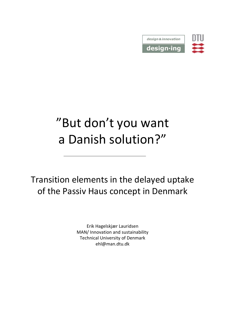

#### "But don't you want a Danish solution?"

Transition elements in the delayed uptake of the Passiv Haus concept in Denmark

> Erik Hagelskjær Lauridsen MAN/ Innovation and sustainability Technical University of Denmark ehl@man.dtu.dk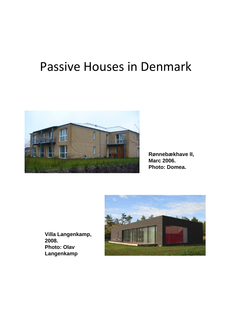#### Passive Houses in Denmark



**Rønnebækhave II, Marc 2006. Photo: Domea.**



**Villa Langenkamp, 2008. Photo: Olav Langenkamp**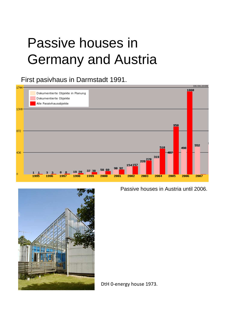### Passive houses in Germany and Austria

#### First pasivhaus in Darmstadt 1991.



Passive houses in Austria until 2006.



DtH 0‐energy house 1973.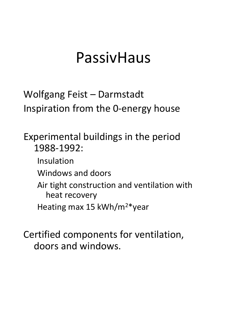### PassivHaus

Wolfgang Feist – Darmstadt Inspiration from the 0‐energy house

Experimental buildings in the period 1988‐1992:

- Insulation
- Windows and doors
- Air tight construction and ventilation with heat recovery
- Heating max 15 kWh/m2\*year

Certified components for ventilation, doors and windows.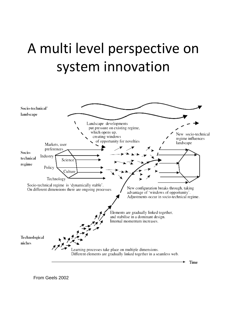## A multi level perspective on system innovation

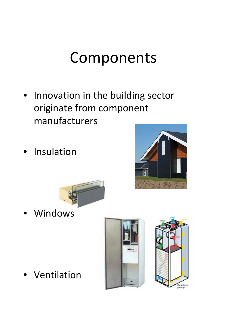## Components

- Innovation in the building sector originate from component manufacturers
- **Insulation**





**Windows** 

**Ventilation** 

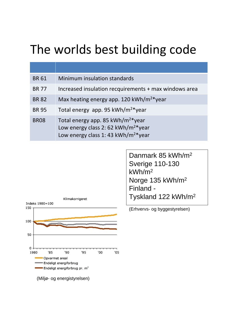### The worlds best building code

| <b>BR61</b>  | Minimum insulation standards                                                                                                                        |
|--------------|-----------------------------------------------------------------------------------------------------------------------------------------------------|
| <b>BR 77</b> | Increased insulation recquirements + max windows area                                                                                               |
| <b>BR 82</b> | Max heating energy app. 120 kWh/m <sup>2*</sup> year                                                                                                |
| <b>BR 95</b> | Total energy app. 95 kWh/m <sup>2*</sup> year                                                                                                       |
| <b>BR08</b>  | Total energy app. 85 kWh/m <sup>2*</sup> year<br>Low energy class 2: 62 kWh/m <sup>2*</sup> year<br>Low energy class 1: 43 kWh/m <sup>2*</sup> year |



Danmark 85 kWh/m2 Sverige 110-130 kWh/m2 Norge 135 kWh/m2 Finland - Tyskland 122 kWh/m2

(Erhvervs- og byggestyrelsen)

(Miljø- og energistyrelsen)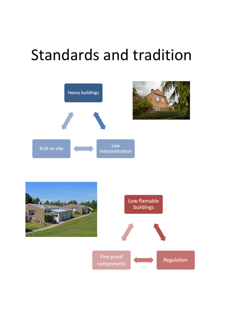## Standards and tradition



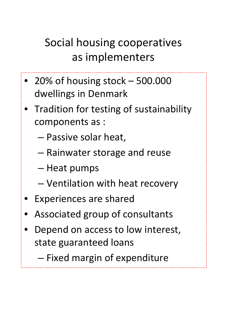#### Social housing cooperatives as implementers

- 20% of housing stock 500.000 dwellings in Denmark
- Tradition for testing of sustainability components as :
	- Passive solar heat,
	- Rainwater storage and reuse
	- Heat pumps
	- Ventilation with heat recovery
- Experiences are shared
- Associated group of consultants
- Depend on access to low interest, state guaranteed loans

– Fixed margin of expenditure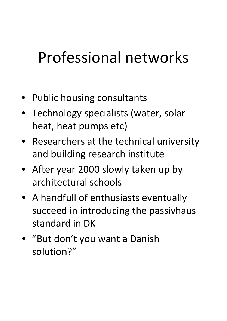## Professional networks

- Public housing consultants
- Technology specialists (water, solar heat, heat pumps etc)
- Researchers at the technical university and building research institute
- After year 2000 slowly taken up by architectural schools
- A handfull of enthusiasts eventually succeed in introducing the passivhaus standard in DK
- "But don't you want a Danish solution?"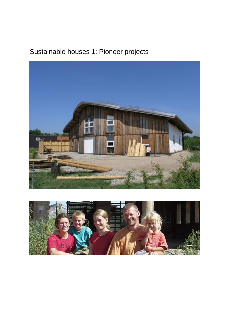#### Sustainable houses 1: Pioneer projects



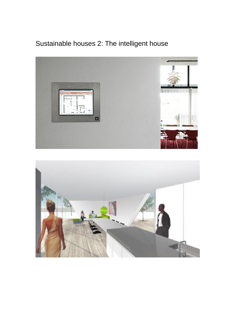#### Sustainable houses 2: The intelligent house



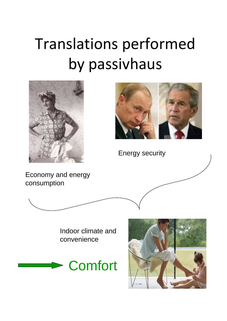# Translations performed by passivhaus





Energy security

Economy and energy consumption



Indoor climate and convenience



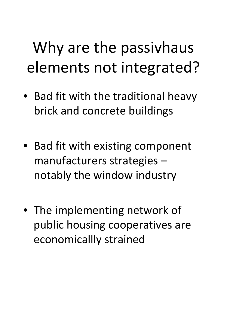# Why are the passivhaus elements not integrated?

- Bad fit with the traditional heavy brick and concrete buildings
- Bad fit with existing component manufacturers strategies – notably the window industry
- The implementing network of public housing cooperatives are economicallly strained